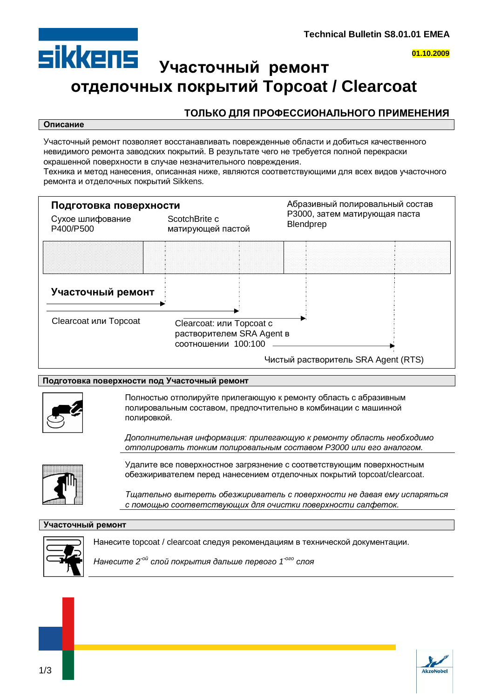

# **SİKKENS** Участочный ремонт **ɨɬɞɟɥɨɱɧɵɯɩɨɤɪɵɬɢɣ Topcoat / Clearcoat**

## ТОЛЬКО ДЛЯ ПРОФЕССИОНАЛЬНОГО ПРИМЕНЕНИЯ

#### **Описание**

Участочный ремонт позволяет восстанавливать поврежденные области и добиться качественного невидимого ремонта заводских покрытий. В результате чего не требуется полной перекраски окрашенной поверхности в случае незначительного повреждения.

Техника и метод нанесения, описанная ниже, являются соответствующими для всех видов участочного ремонта и отделочных покрытий Sikkens.



### Подготовка поверхности под Участочный ремонт



Полностью отполируйте прилегающую к ремонту область с абразивным полировальным составом, предпочтительно в комбинации с машинной полировкой.

Дополнительная информация: прилегающую к ремонту область необходимо  $\alpha$ ютполировать тонким полировальным составом Р3000 или его аналогом.



Удалите все поверхностное загрязнение с соответствующим поверхностным обезжиривателем перед нанесением отделочных покрытий topcoat/clearcoat.

Тщательно вытереть обезжириватель с поверхности не давая ему испаряться  $c$  помошью соответствующих для очистки поверхности салфеток.

### **Участочный ремонт**



Нанесите topcoat / clearcoat следуя рекомендациям в технической документации.

*Нанесите 2<sup>-ой</sup> слой покрытия дальше первого 1<sup>-ого</sup> слоя* 

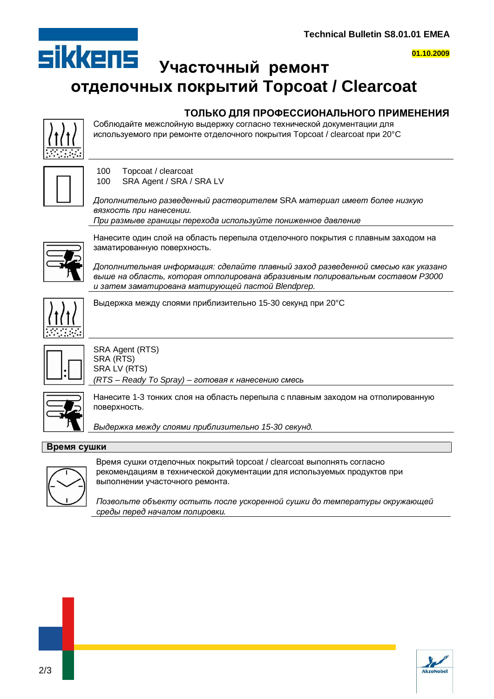

**01.10.2009**

# **SİKKENS** Участочный ремонт **ɨɬɞɟɥɨɱɧɵɯɩɨɤɪɵɬɢɣ Topcoat / Clearcoat**

## ТОЛЬКО ДЛЯ ПРОФЕССИОНАЛЬНОГО ПРИМЕНЕНИЯ

Соблюдайте межслойную выдержку согласно технической документации для используемого при ремонте отделочного покрытия Topcoat / clearcoat при 20°С



100 Topcoat / clearcoat 100 SRA Agent / SRA / SRA LV

Дополнительно разведенный растворителем SRA материал имеет более низкую **вязкость при нанесении.** При размыве границы перехода используйте пониженное давление



Нанесите один слой на область перепыла отделочного покрытия с плавным заходом на заматированную поверхность.

Дополнительная информация: сделайте плавный заход разведенной смесью как указано *ɜɵɲɟɧɚɨɛɥɚɫɬɶ, ɤɨɬɨɪɚɹɨɬɩɨɥɢɪɨɜɚɧɚɚɛɪɚɡɢɜɧɵɦɩɨɥɢɪɨɜɚɥɶɧɵɦɫɨɫɬɚɜɨɦ P3000* u затем заматирована матирующей пастой Blendprep.



Выдержка между слоями приблизительно 15-30 секунд при 20°С



SRA Agent (RTS) SRA (RTS) SRA LV (RTS) *(RTS – Ready To Spray) – готовая к нанесению смесь* 



Нанесите 1-3 тонких слоя на область перепыла с плавным заходом на отполированную поверхность.

*ȼɵɞɟɪɠɤɚɦɟɠɞɭɫɥɨɹɦɢɩɪɢɛɥɢɡɢɬɟɥɶɧɨ 15-30 ɫɟɤɭɧɞ.*

### **Время сушки**



Время сушки отделочных покрытий topcoat / clearcoat выполнять согласно рекомендациям в технической документации для используемых продуктов при выполнении участочного ремонта.

*ɉɨɡɜɨɥɶɬɟɨɛɴɟɤɬɭɨɫɬɵɬɶɩɨɫɥɟɭɫɤɨɪɟɧɧɨɣɫɭɲɤɢɞɨɬɟɦɩɟɪɚɬɭɪɵɨɤɪɭɠɚɸɳɟɣ*  $c$ реды перед началом полировки.